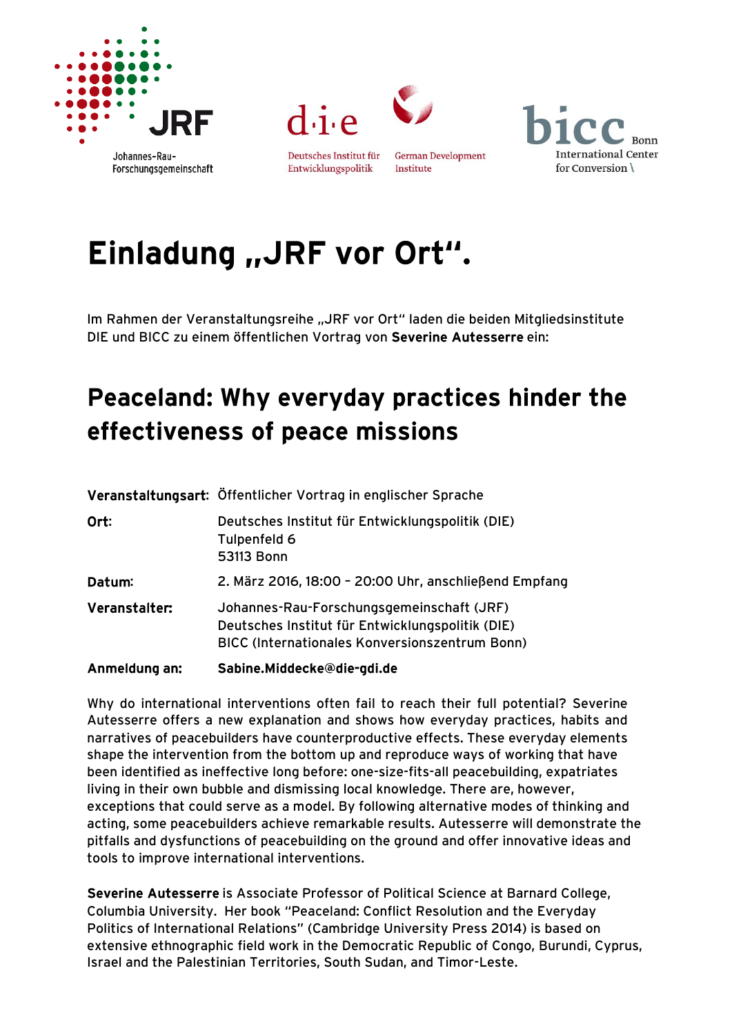





**German Development** Entwicklungspolitik Institute



## Einladung "JRF vor Ort".

Im Rahmen der Veranstaltungsreihe "JRF vor Ort" laden die beiden Mitgliedsinstitute DIE und BICC zu einem öffentlichen Vortrag von Severine Autesserre ein:

## Peaceland: Why everyday practices hinder the effectiveness of peace missions

| Anmeldung an: | Sabine.Middecke@die-gdi.de                                                                                                                             |
|---------------|--------------------------------------------------------------------------------------------------------------------------------------------------------|
| Veranstalter: | Johannes-Rau-Forschungsgemeinschaft (JRF)<br>Deutsches Institut für Entwicklungspolitik (DIE)<br><b>BICC (Internationales Konversionszentrum Bonn)</b> |
| Datum:        | 2. März 2016, 18:00 - 20:00 Uhr, anschließend Empfang                                                                                                  |
| Ort:          | Deutsches Institut für Entwicklungspolitik (DIE)<br>Tulpenfeld 6<br>53113 Bonn                                                                         |
|               | Veranstaltungsart: Öffentlicher Vortrag in englischer Sprache                                                                                          |

Why do international interventions often fail to reach their full potential? Severine Autesserre offers a new explanation and shows how everyday practices, habits and narratives of peacebuilders have counterproductive effects. These everyday elements shape the intervention from the bottom up and reproduce ways of working that have been identified as ineffective long before: one-size-fits-all peacebuilding, expatriates living in their own bubble and dismissing local knowledge. There are, however, exceptions that could serve as a model. By following alternative modes of thinking and acting, some peacebuilders achieve remarkable results. Autesserre will demonstrate the pitfalls and dysfunctions of peacebuilding on the ground and offer innovative ideas and tools to improve international interventions.

Severine Autesserre is Associate Professor of Political Science at Barnard College, Columbia University. Her book "Peaceland: Conflict Resolution and the Everyday Politics of International Relations" (Cambridge University Press 2014) is based on extensive ethnographic field work in the Democratic Republic of Congo, Burundi, Cyprus, Israel and the Palestinian Territories, South Sudan, and Timor-Leste.